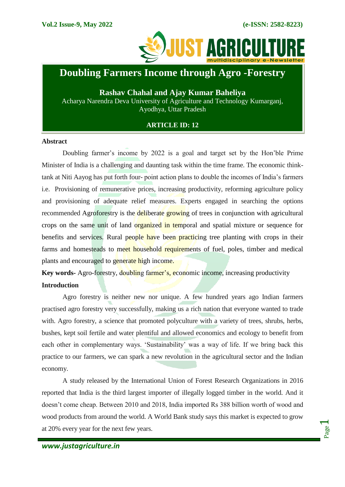

# **Doubling Farmers Income through Agro -Forestry**

**Rashav Chahal and Ajay Kumar Baheliya** Acharya Narendra Deva University of Agriculture and Technology Kumarganj, Ayodhya, Uttar Pradesh

# **ARTICLE ID: 12**

#### **Abstract**

ļ

Doubling farmer's income by 2022 is a goal and target set by the Hon'ble Prime Minister of India is a challenging and daunting task within the time frame. The economic thinktank at Niti Aayog has put forth four- point action plans to double the incomes of India's farmers i.e. Provisioning of remunerative prices, increasing productivity, reforming agriculture policy and provisioning of adequate relief measures. Experts engaged in searching the options recommended Agroforestry is the deliberate growing of trees in conjunction with agricultural crops on the same unit of land organized in temporal and spatial mixture or sequence for benefits and services. Rural people have been practicing tree planting with crops in their farms and homesteads to meet household requirements of fuel, poles, timber and medical plants and encouraged to generate high income.

**Key words-** Agro-forestry, doubling farmer's, economic income, increasing productivity **Introduction**

Agro forestry is neither new nor unique. A few hundred years ago Indian farmers practised agro forestry very successfully, making us a rich nation that everyone wanted to trade with. Agro forestry, a science that promoted polyculture with a variety of trees, shrubs, herbs, bushes, kept soil fertile and water plentiful and allowed economics and ecology to benefit from each other in complementary ways. 'Sustainability' was a way of life. If we bring back this practice to our farmers, we can spark a new revolution in the agricultural sector and the Indian economy.

A study released by the International Union of Forest Research Organizations in 2016 reported that India is the third largest importer of illegally logged timber in the world. And it doesn't come cheap. Between 2010 and 2018, India imported Rs 388 billion worth of wood and wood products from around the world. A World Bank study says this market is expected to grow at 20% every year for the next few years.

Page  $\overline{\phantom{0}}$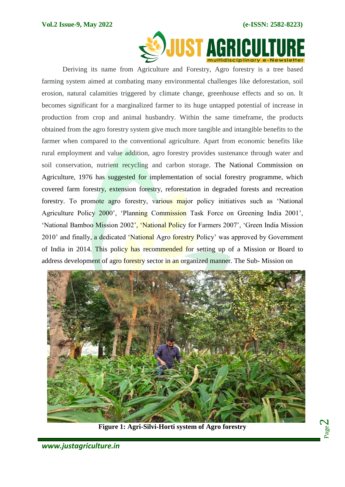

Deriving its name from Agriculture and Forestry, Agro forestry is a tree based farming system aimed at combating many environmental challenges like deforestation, soil erosion, natural calamities triggered by climate change, greenhouse effects and so on. It becomes significant for a marginalized farmer to its huge untapped potential of increase in production from crop and animal husbandry. Within the same timeframe, the products obtained from the agro forestry system give much more tangible and intangible benefits to the farmer when compared to the conventional agriculture. Apart from economic benefits like rural employment and value addition, agro forestry provides sustenance through water and soil conservation, nutrient recycling and carbon storage. The National Commission on Agriculture, 1976 has suggested for implementation of social forestry programme, which covered farm forestry, extension forestry, reforestation in degraded forests and recreation forestry. To promote agro forestry, various major policy initiatives such as 'National Agriculture Policy 2000', 'Planning Commission Task Force on Greening India 2001', 'National Bamboo Mission 2002', 'National Policy for Farmers 2007', 'Green India Mission 2010' and finally, a dedicated 'National Agro forestry Policy' was approved by Government of India in 2014. This policy has recommended for setting up of a Mission or Board to address development of agro forestry sector in an organized manner. The Sub-Mission on



**Figure 1: Agri-Silvi-Horti system of Agro forestry**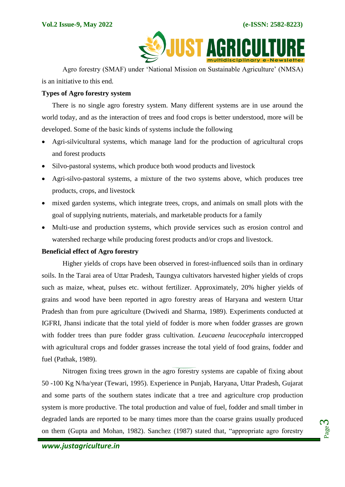

Agro forestry (SMAF) under 'National Mission on Sustainable Agriculture' (NMSA) is an initiative to this end.

### **Types of Agro forestry system**

There is no single agro forestry system. Many different systems are in use around the world today, and as the interaction of trees and food crops is better understood, more will be developed. Some of the basic kinds of systems include the following

- Agri-silvicultural systems, which manage land for the production of agricultural crops and forest products
- Silvo-pastoral systems, which produce both wood products and livestock
- Agri-silvo-pastoral systems, a mixture of the two systems above, which produces tree products, crops, and livestock
- mixed garden systems, which integrate trees, crops, and animals on small plots with the goal of supplying nutrients, materials, and marketable products for a family
- Multi-use and production systems, which provide services such as erosion control and watershed recharge while producing forest products and/or crops and livestock.

## **Beneficial effect of Agro forestry**

Higher yields of crops have been observed in forest-influenced soils than in ordinary soils. In the Tarai area of Uttar Pradesh, Taungya cultivators harvested higher yields of crops such as maize, wheat, pulses etc. without fertilizer. Approximately, 20% higher yields of grains and wood have been reported in agro forestry areas of Haryana and western Uttar Pradesh than from pure agriculture (Dwivedi and Sharma, 1989). Experiments conducted at IGFRI, Jhansi indicate that the total yield of fodder is more when fodder grasses are grown with fodder trees than pure fodder grass cultivation. *Leucaena leucocephala* intercropped with agricultural crops and fodder grasses increase the total yield of food grains, fodder and fuel (Pathak, 1989).

Nitrogen fixing trees grown in the agro forestry systems are capable of fixing about 50 -100 Kg N/ha/year (Tewari, 1995). Experience in Punjab, Haryana, Uttar Pradesh, Gujarat and some parts of the southern states indicate that a tree and agriculture crop production system is more productive. The total production and value of fuel, fodder and small timber in degraded lands are reported to be many times more than the coarse grains usually produced on them (Gupta and Mohan, 1982). Sanchez (1987) stated that, "appropriate agro forestry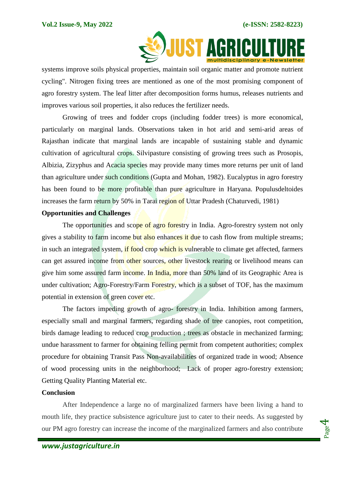Page 4



systems improve soils physical properties, maintain soil organic matter and promote nutrient cycling". Nitrogen fixing trees are mentioned as one of the most promising component of agro forestry system. The leaf litter after decomposition forms humus, releases nutrients and improves various soil properties, it also reduces the fertilizer needs.

Growing of trees and fodder crops (including fodder trees) is more economical, particularly on marginal lands. Observations taken in hot arid and semi-arid areas of Rajasthan indicate that marginal lands are incapable of sustaining stable and dynamic cultivation of agricultural crops. Silvipasture consisting of growing trees such as Prosopis, Albizia, Zizyphus and Acacia species may provide many times more returns per unit of land than agriculture under such conditions (Gupta and Mohan, 1982). Eucalyptus in agro forestry has been found to be more profitable than pure agriculture in Haryana. Populusdeltoides increases the farm return by 50% in Tarai region of Uttar Pradesh (Chaturvedi, 1981)

### **Opportunities and Challenges**

The opportunities and scope of agro forestry in India. Agro-forestry system not only gives a stability to farm income but also enhances it due to cash flow from multiple streams; in such an integrated system, if food crop which is vulnerable to climate get affected, farmers can get assured income from other sources, other livestock rearing or livelihood means can give him some assured farm income. In India, more than 50% land of its Geographic Area is under cultivation; Agro-Forestry/Farm Forestry, which is a subset of TOF, has the maximum potential in extension of green cover etc.

The factors impeding growth of agro- forestry in India. Inhibition among farmers, especially small and marginal farmers, regarding shade of tree canopies, root competition, birds damage leading to reduced crop production ; trees as obstacle in mechanized farming; undue harassment to farmer for obtaining felling permit from competent authorities; complex procedure for obtaining Transit Pass Non-availabilities of organized trade in wood; Absence of wood processing units in the neighborhood; Lack of proper agro-forestry extension; Getting Quality Planting Material etc.

#### **Conclusion**

After Independence a large no of marginalized farmers have been living a hand to mouth life, they practice subsistence agriculture just to cater to their needs. As suggested by our PM agro forestry can increase the income of the marginalized farmers and also contribute